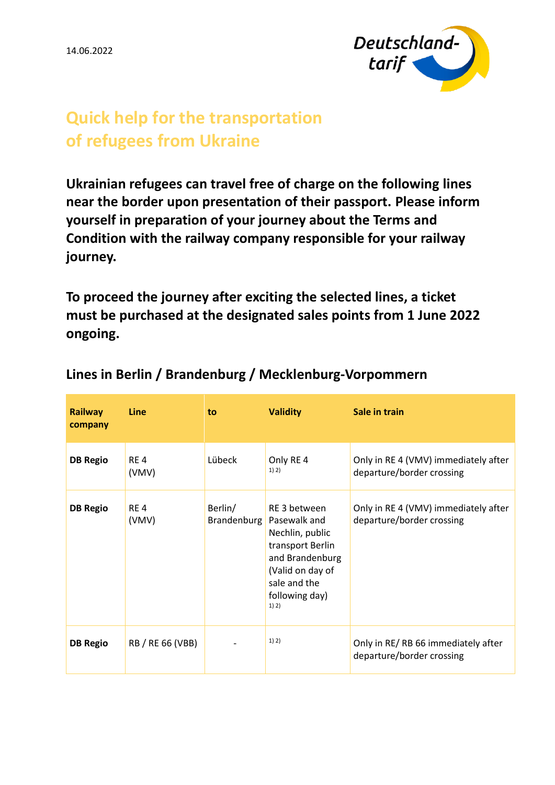14.06.2022



## **Quick help for the transportation of refugees from Ukraine**

**Ukrainian refugees can travel free of charge on the following lines near the border upon presentation of their passport. Please inform yourself in preparation of your journey about the Terms and Condition with the railway company responsible for your railway journey.**

**To proceed the journey after exciting the selected lines, a ticket must be purchased at the designated sales points from 1 June 2022 ongoing.**

| <b>Railway</b><br>company | <b>Line</b>              | to.                           | <b>Validity</b>                                                                                                                                       | Sale in train                                                     |
|---------------------------|--------------------------|-------------------------------|-------------------------------------------------------------------------------------------------------------------------------------------------------|-------------------------------------------------------------------|
| <b>DB Regio</b>           | RE <sub>4</sub><br>(VMV) | Lübeck                        | Only RE 4<br>1) 2)                                                                                                                                    | Only in RE 4 (VMV) immediately after<br>departure/border crossing |
| <b>DB Regio</b>           | RE <sub>4</sub><br>(VMV) | Berlin/<br><b>Brandenburg</b> | RE 3 between<br>Pasewalk and<br>Nechlin, public<br>transport Berlin<br>and Brandenburg<br>(Valid on day of<br>sale and the<br>following day)<br>1) 2) | Only in RE 4 (VMV) immediately after<br>departure/border crossing |
| <b>DB Regio</b>           | RB / RE 66 (VBB)         |                               | 1) 2)                                                                                                                                                 | Only in RE/RB 66 immediately after<br>departure/border crossing   |

## **Lines in Berlin / Brandenburg / Mecklenburg-Vorpommern**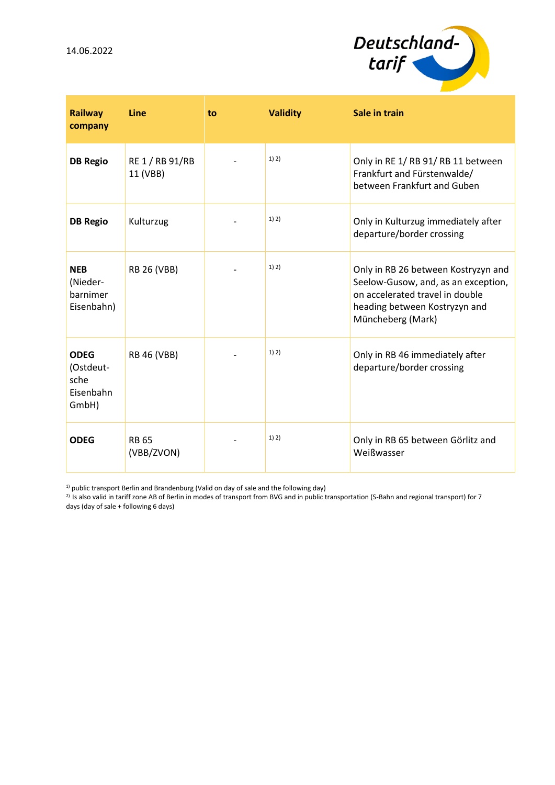14.06.2022



| <b>Railway</b><br>company                              | Line                        | to | <b>Validity</b> | Sale in train                                                                                                                                                       |
|--------------------------------------------------------|-----------------------------|----|-----------------|---------------------------------------------------------------------------------------------------------------------------------------------------------------------|
| <b>DB Regio</b>                                        | RE 1 / RB 91/RB<br>11 (VBB) |    | 1) 2)           | Only in RE 1/RB 91/RB 11 between<br>Frankfurt and Fürstenwalde/<br>between Frankfurt and Guben                                                                      |
| <b>DB Regio</b>                                        | Kulturzug                   |    | 1) 2)           | Only in Kulturzug immediately after<br>departure/border crossing                                                                                                    |
| <b>NEB</b><br>(Nieder-<br>barnimer<br>Eisenbahn)       | <b>RB 26 (VBB)</b>          |    | 1) 2)           | Only in RB 26 between Kostryzyn and<br>Seelow-Gusow, and, as an exception,<br>on accelerated travel in double<br>heading between Kostryzyn and<br>Müncheberg (Mark) |
| <b>ODEG</b><br>(Ostdeut-<br>sche<br>Eisenbahn<br>GmbH) | <b>RB 46 (VBB)</b>          |    | 1) 2)           | Only in RB 46 immediately after<br>departure/border crossing                                                                                                        |
| <b>ODEG</b>                                            | <b>RB 65</b><br>(VBB/ZVON)  |    | 1) 2)           | Only in RB 65 between Görlitz and<br>Weißwasser                                                                                                                     |

<sup>1)</sup> public transport Berlin and Brandenburg (Valid on day of sale and the following day)

 $^{2)}$  Is also valid in tariff zone AB of Berlin in modes of transport from BVG and in public transportation (S-Bahn and regional transport) for 7 days (day of sale + following 6 days)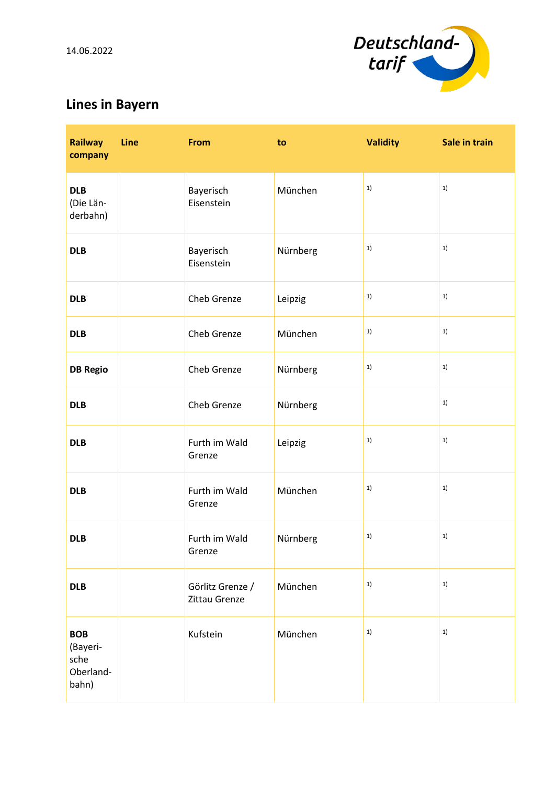

## **Lines in Bayern**

| <b>Railway</b><br>company                            | <b>Line</b> | <b>From</b>                       | to       | <b>Validity</b> | Sale in train |
|------------------------------------------------------|-------------|-----------------------------------|----------|-----------------|---------------|
| <b>DLB</b><br>(Die Län-<br>derbahn)                  |             | Bayerisch<br>Eisenstein           | München  | 1)              | 1)            |
| <b>DLB</b>                                           |             | Bayerisch<br>Eisenstein           | Nürnberg | 1)              | 1)            |
| <b>DLB</b>                                           |             | Cheb Grenze                       | Leipzig  | 1)              | 1)            |
| <b>DLB</b>                                           |             | Cheb Grenze                       | München  | 1)              | 1)            |
| <b>DB Regio</b>                                      |             | Cheb Grenze                       | Nürnberg | 1)              | 1)            |
| <b>DLB</b>                                           |             | Cheb Grenze                       | Nürnberg |                 | 1)            |
| <b>DLB</b>                                           |             | Furth im Wald<br>Grenze           | Leipzig  | 1)              | 1)            |
| <b>DLB</b>                                           |             | Furth im Wald<br>Grenze           | München  | 1)              | 1)            |
| <b>DLB</b>                                           |             | Furth im Wald<br>Grenze           | Nürnberg | 1)              | 1)            |
| <b>DLB</b>                                           |             | Görlitz Grenze /<br>Zittau Grenze | München  | 1)              | 1)            |
| <b>BOB</b><br>(Bayeri-<br>sche<br>Oberland-<br>bahn) |             | Kufstein                          | München  | 1)              | $1)$          |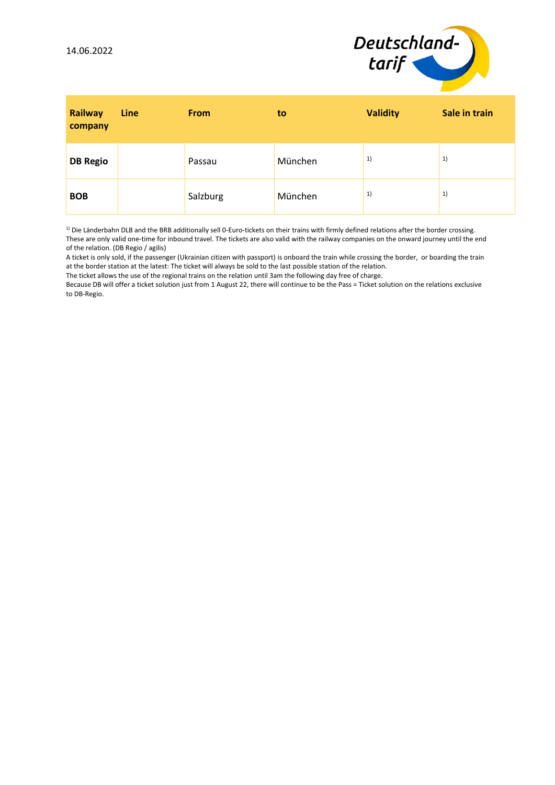

| Railway<br>company | Line | <b>From</b> | to      | <b>Validity</b> | Sale in train |
|--------------------|------|-------------|---------|-----------------|---------------|
| <b>DB Regio</b>    |      | Passau      | München | 1)              | 1)            |
| <b>BOB</b>         |      | Salzburg    | München | 1)              | 1)            |

1) Die Länderbahn DLB and the BRB additionally sell 0-Euro-tickets on their trains with firmly defined relations after the border crossing. These are only valid one-time for inbound travel. The tickets are also valid with the railway companies on the onward journey until the end of the relation. (DB Regio / agilis)

A ticket is only sold, if the passenger (Ukrainian citizen with passport) is onboard the train while crossing the border, or boarding the train at the border station at the latest: The ticket will always be sold to the last possible station of the relation.

The ticket allows the use of the regional trains on the relation until 3am the following day free of charge.

Because DB will offer a ticket solution just from 1 August 22, there will continue to be the Pass = Ticket solution on the relations exclusive to DB-Regio.